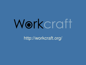# Workcraft

http://workcraft.org/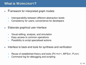# **What is WORKCRAFT?**

- • <sup>F</sup>ramework for interpreted graph models
	- $\bullet$ Interoperability between different abstraction levels
	- •Consistency for users; convenience for developers
- • Elaborate graphical user interface
	- $\bullet$ Visual editing, analysis, and simulation
	- •Easy access to common operations
	- $\bullet$ Possibility to script specialised actions
- • Interface to back-end tools for synthesis and verification
	- $\bullet$ Reuse of established theory and tools (PETRIFY, MPSAT, <sup>P</sup>UNF)
	- •Command log for debugging and scripting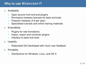# **Why to use WORKCRAFT?**

- • Availability
	- $\bullet$ Open-source front-end and plugins
	- $\bullet$ Permissive freeware licenses for back-end tools
	- •Frequent releases (4-6 per year)
	- •Specialised tutorials and online training materials
- •**Extendibility** 
	- $\bullet$ Plugins for new formalisms
	- $\bullet$ Import, export and converter plugins
	- •Interface to back-end tools
- •**Usability** 
	- •Elaborated GUI developed with much user feedback
- •**Portability** 
	- $\bullet$ Distributions for Windows, Linux, and OS <sup>X</sup>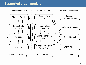# **Supported graph models**

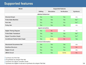## **Supported features**

| <b>Model</b>                           | <b>Supported features</b> |                   |                     |                  |
|----------------------------------------|---------------------------|-------------------|---------------------|------------------|
|                                        | <b>Editing</b>            | <b>Simulation</b> | <b>Verification</b> | <b>Synthesis</b> |
| abstract behaviour                     |                           |                   |                     |                  |
| <b>Directed Graph</b>                  | <b>Yes</b>                | Yes               | Yes                 | n/a              |
| <b>Finite State Machine</b>            | <b>Yes</b>                | <b>Yes</b>        | Yes                 | Yes <sup>1</sup> |
| <b>Petri Net</b>                       | <b>Yes</b>                | Yes               | Yes                 | Yes <sup>2</sup> |
| <b>Policy Net</b>                      | <b>Yes</b>                | <b>Yes</b>        | Yes                 | n/a              |
| signal semantics                       |                           |                   |                     |                  |
| <b>Digital Timing Diagram</b>          | Yes                       | <b>No</b>         | n/a                 | n/a              |
| <b>Finite State Transducer</b>         | Yes                       | Yes               | Yes                 | Yes <sup>3</sup> |
| <b>Signal Transition Graph</b>         | <b>Yes</b>                | Yes               | Yes                 | Yes <sup>4</sup> |
| <b>Conditional Partial Order Graph</b> | <b>Yes</b>                | Some              | <b>No</b>           | Yes              |
| structural information                 |                           |                   |                     |                  |
| <b>Structured Occurrence Net</b>       | Yes                       | Yes               | Yes                 | n/a              |
| <b>Dataflow Structure</b>              | Yes                       | Yes               | Yes                 | <b>No</b>        |
| <b>Digital Circuit</b>                 | <b>Yes</b>                | <b>Yes</b>        | Yes                 | n/a              |
| <b>xMAS Circuit</b>                    | <b>Yes</b>                | <b>Yes</b>        | Some                | <b>No</b>        |

<sup>1)</sup> synthesis into Petri Net

<sup>2)</sup> re-synthesis into simpler Petri Net

3) synthesis into Signal Transition Graph

4) synthesis into Digital Circuit and re-synthesis into simpler Petri Net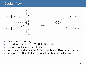# **Design flow**



- •Import: ASTG, Verilog
- Export: ASTG, Verilog, SVG/Dot/PDF/EPS•
- $\bullet$ Convert: synthesis or translation
- Verify: reachability analysis (REACH predicates, SVA-like invariants) •
- •Visualise: CSC conflict cores, circuit initialisation, bottleneck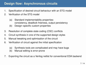# **Design flow: Asynchronous circuits**

- 1. Specification of desired circuit behaviour with an STG model
- 2. Verification of the STG model
	- (a) Standard implementability properties: consistency, deadlock freeness, output persistency
	- (b) Design–specific custom properties
- 3. Resolution of complete state coding (CSC) conflicts
- 4. Circuit synthesis in one of the supported design styles
- 5. Manual tweaking and optimisation of the circuit
- 6. Verification of circuit against the initial specification
	- (a) Synthesis tools are complicated and may have bugs
	- (b) Manual editing is error-prone
- 7. Exporting the circuit as <sup>a</sup> Verilog netlist for conventional EDA backend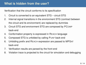# **What is hidden from the user?**

Verification that the circuit conforms to its specification

- 1. Circuit is converted to an equivalent STG circuit STG
- 2. Internal signal transitions in the environment STG (contract betweenthe circuit and its environment) are replaced by dummies
- 3. Circuit STG and environment STG are composed by PCOMPback-end
- 4. Conformation property is expressed in REACH language
- 5. Composed STG is unfolded by calling PUNF back-end
- 6. Unfolding prefix and REACH expression are passed to MPSAT back-end
- 7. Verification results are parsed by the front-end
- 8. Violation trace is projected to the circuit for simulation and debugging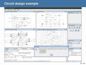## **Circuit design example**

#### © ⊜ ( Workcraft

#### File Edit View Tools Help

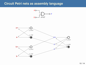#### **Circuit Petri nets as assembly language**

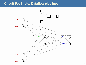#### **Circuit Petri nets: Dataflow pipelines**

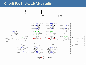#### **Circuit Petri nets: xMAS circuits**

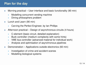# **Plan for the day**

- $\bullet$  Morning practical – User interface and basic functionality (90 min)
	- •Modelling concurrent vending machine
	- •Dining philosophers problem
- • Lunch and Learn (90 min)
	- •Carving the Perfect Engineer, by Ian Phillips
- $\bullet$  Afternoon practical – Design of asynchronous circuits (4 hours)
	- •C-element (basic circuit, detailed explanation)
	- $\bullet$ Buck controller (medium complexity with some hints)
	- $\bullet$ VME bus controller (advanced material for individual work)
	- •Analysis and optimisation of asynchronous pipelines
- • Demonstration – Applications outside electronics (60 min)
	- $\bullet$ Investigation of crime and accident scenes
	- $\bullet$ Modelling biological systems